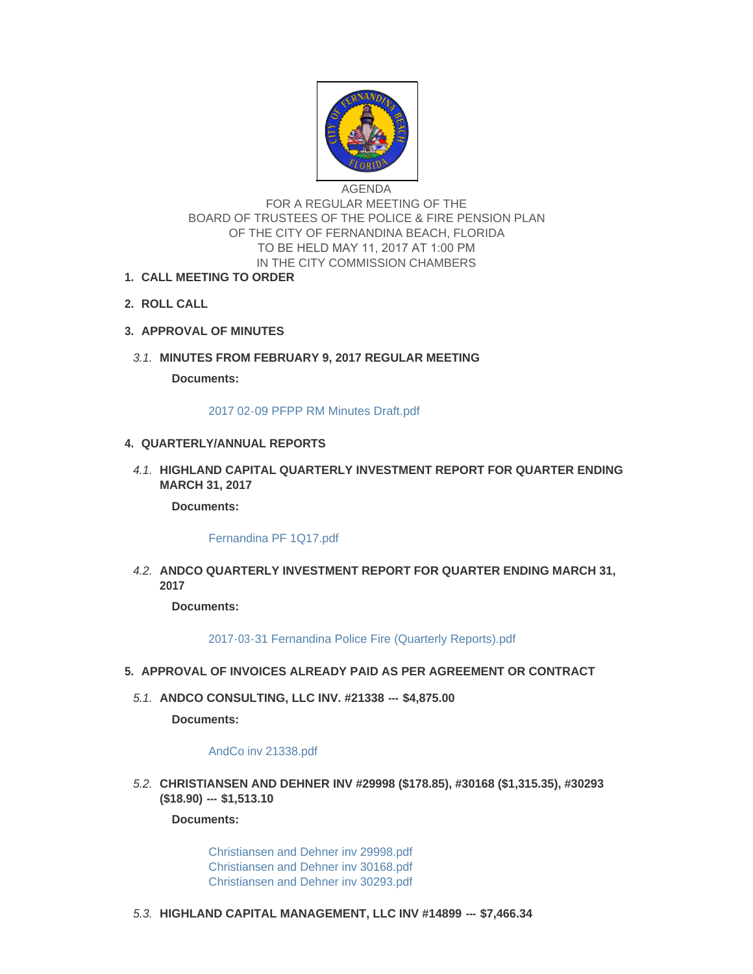

AGENDA FOR A REGULAR MEETING OF THE BOARD OF TRUSTEES OF THE POLICE & FIRE PENSION PLAN OF THE CITY OF FERNANDINA BEACH, FLORIDA TO BE HELD MAY 11, 2017 AT 1:00 PM IN THE CITY COMMISSION CHAMBERS

- **CALL MEETING TO ORDER 1.**
- **ROLL CALL 2.**
- **APPROVAL OF MINUTES 3.**
- **MINUTES FROM FEBRUARY 9, 2017 REGULAR MEETING** *3.1.*

**Documents:**

[2017 02-09 PFPP RM Minutes Draft.pdf](http://www.fbfl.us/AgendaCenter/ViewFile/Item/7796?fileID=5111)

## **QUARTERLY/ANNUAL REPORTS 4.**

**HIGHLAND CAPITAL QUARTERLY INVESTMENT REPORT FOR QUARTER ENDING**  *4.1.* **MARCH 31, 2017**

**Documents:**

[Fernandina PF 1Q17.pdf](http://www.fbfl.us/AgendaCenter/ViewFile/Item/7798?fileID=5122)

**ANDCO QUARTERLY INVESTMENT REPORT FOR QUARTER ENDING MARCH 31,**  *4.2.* **2017**

**Documents:**

[2017-03-31 Fernandina Police Fire \(Quarterly Reports\).pdf](http://www.fbfl.us/AgendaCenter/ViewFile/Item/7797?fileID=5112)

- **APPROVAL OF INVOICES ALREADY PAID AS PER AGREEMENT OR CONTRACT 5.**
- **ANDCO CONSULTING, LLC INV. #21338 --- \$4,875.00** *5.1.*

**Documents:**

## [AndCo inv 21338.pdf](http://www.fbfl.us/AgendaCenter/ViewFile/Item/7799?fileID=5089)

**CHRISTIANSEN AND DEHNER INV #29998 (\$178.85), #30168 (\$1,315.35), #30293**  *5.2.* **(\$18.90) --- \$1,513.10** 

**Documents:**

[Christiansen and Dehner inv 29998.pdf](http://www.fbfl.us/AgendaCenter/ViewFile/Item/7800?fileID=5090) [Christiansen and Dehner inv 30168.pdf](http://www.fbfl.us/AgendaCenter/ViewFile/Item/7800?fileID=5091) [Christiansen and Dehner inv 30293.pdf](http://www.fbfl.us/AgendaCenter/ViewFile/Item/7800?fileID=5092)

**HIGHLAND CAPITAL MANAGEMENT, LLC INV #14899 --- \$7,466.34** *5.3.*